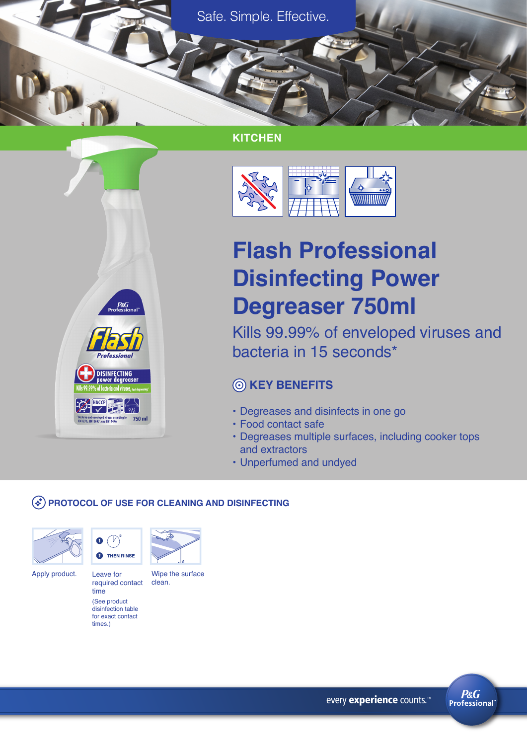Safe. Simple. Effective.

# **KITCHEN**



# **Flash Professional Disinfecting Power Degreaser 750ml**

Kills 99.99% of enveloped viruses and bacteria in 15 seconds\*

# **KEY BENEFITS**

- Degreases and disinfects in one go
- Food contact safe
- Degreases multiple surfaces, including cooker tops and extractors
- Unperfumed and undyed

#### **PROTOCOL OF USE FOR CLEANING AND DISINFECTING**





 $P\&G$ 

**Professiona** 

**DISINFECTING** 

Bacteria and enveloped viruses according to <mark>750 ml</mark><br>EN1276, EN13697, and EN14476

Leave for Apply product. Leave for Wipe the surface

> time (See product disinfection table for exact contact times.)



required contact clean.



every experience counts.<sup>™</sup>

**P&G Professional**